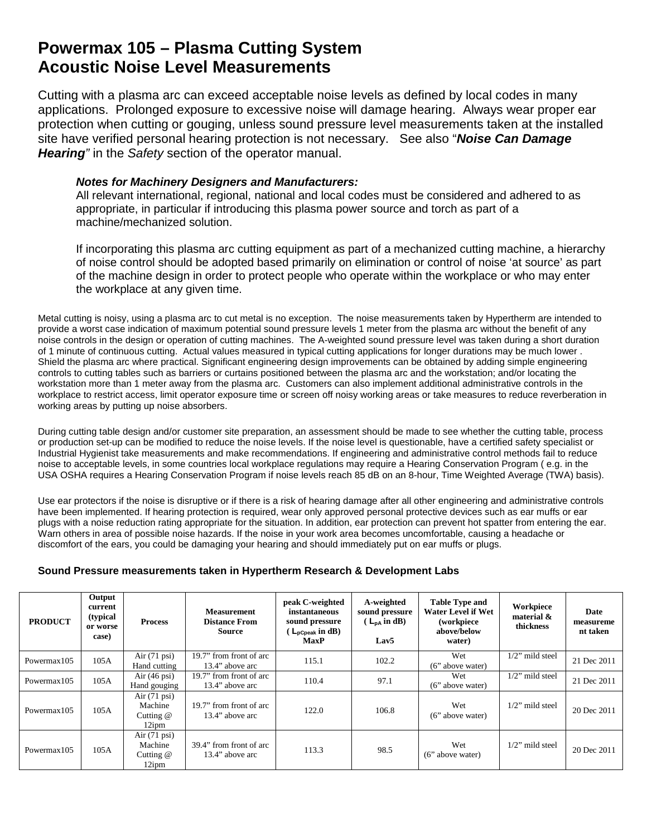## **Powermax 105 – Plasma Cutting System Acoustic Noise Level Measurements**

Cutting with a plasma arc can exceed acceptable noise levels as defined by local codes in many applications. Prolonged exposure to excessive noise will damage hearing. Always wear proper ear protection when cutting or gouging, unless sound pressure level measurements taken at the installed site have verified personal hearing protection is not necessary. See also "*Noise Can Damage Hearing"* in the *Safety* section of the operator manual.

## *Notes for Machinery Designers and Manufacturers:*

All relevant international, regional, national and local codes must be considered and adhered to as appropriate, in particular if introducing this plasma power source and torch as part of a machine/mechanized solution.

If incorporating this plasma arc cutting equipment as part of a mechanized cutting machine, a hierarchy of noise control should be adopted based primarily on elimination or control of noise 'at source' as part of the machine design in order to protect people who operate within the workplace or who may enter the workplace at any given time.

Metal cutting is noisy, using a plasma arc to cut metal is no exception. The noise measurements taken by Hypertherm are intended to provide a worst case indication of maximum potential sound pressure levels 1 meter from the plasma arc without the benefit of any noise controls in the design or operation of cutting machines. The A-weighted sound pressure level was taken during a short duration of 1 minute of continuous cutting. Actual values measured in typical cutting applications for longer durations may be much lower . Shield the plasma arc where practical. Significant engineering design improvements can be obtained by adding simple engineering controls to cutting tables such as barriers or curtains positioned between the plasma arc and the workstation; and/or locating the workstation more than 1 meter away from the plasma arc. Customers can also implement additional administrative controls in the workplace to restrict access, limit operator exposure time or screen off noisy working areas or take measures to reduce reverberation in working areas by putting up noise absorbers.

During cutting table design and/or customer site preparation, an assessment should be made to see whether the cutting table, process or production set-up can be modified to reduce the noise levels. If the noise level is questionable, have a certified safety specialist or Industrial Hygienist take measurements and make recommendations. If engineering and administrative control methods fail to reduce noise to acceptable levels, in some countries local workplace regulations may require a Hearing Conservation Program ( e.g. in the USA OSHA requires a Hearing Conservation Program if noise levels reach 85 dB on an 8-hour, Time Weighted Average (TWA) basis).

Use ear protectors if the noise is disruptive or if there is a risk of hearing damage after all other engineering and administrative controls have been implemented. If hearing protection is required, wear only approved personal protective devices such as ear muffs or ear plugs with a noise reduction rating appropriate for the situation. In addition, ear protection can prevent hot spatter from entering the ear. Warn others in area of possible noise hazards. If the noise in your work area becomes uncomfortable, causing a headache or discomfort of the ears, you could be damaging your hearing and should immediately put on ear muffs or plugs.

## **Sound Pressure measurements taken in Hypertherm Research & Development Labs**

| <b>PRODUCT</b>          | Output<br>current<br>(typical)<br>or worse<br>case) | <b>Process</b>                                            | <b>Measurement</b><br><b>Distance From</b><br>Source | peak C-weighted<br>instantaneous<br>sound pressure<br>$(L_{\text{pCpeak}} \text{ in dB})$<br><b>MaxP</b> | A-weighted<br>sound pressure<br>$(L_{DA}$ in dB)<br>Lav <sub>5</sub> | <b>Table Type and</b><br><b>Water Level if Wet</b><br>(workpiece)<br>above/below<br>water) | Workpiece<br>material &<br>thickness | Date<br>measureme<br>nt taken |
|-------------------------|-----------------------------------------------------|-----------------------------------------------------------|------------------------------------------------------|----------------------------------------------------------------------------------------------------------|----------------------------------------------------------------------|--------------------------------------------------------------------------------------------|--------------------------------------|-------------------------------|
| Powermax105             | 105A                                                | Air $(71 \text{ psi})$<br>Hand cutting                    | 19.7" from front of arc<br>13.4" above arc           | 115.1                                                                                                    | 102.2                                                                | Wet<br>(6" above water)                                                                    | $1/2$ " mild steel                   | 21 Dec 2011                   |
| Powermax105             | 105A                                                | Air $(46 \text{ psi})$<br>Hand gouging                    | 19.7" from front of arc<br>13.4" above arc           | 110.4                                                                                                    | 97.1                                                                 | Wet<br>(6" above water)                                                                    | $1/2$ " mild steel                   | 21 Dec 2011                   |
| Powermax <sub>105</sub> | 105A                                                | Air $(71 \text{ psi})$<br>Machine<br>Cutting $@$<br>12ipm | 19.7" from front of arc<br>13.4" above arc           | 122.0                                                                                                    | 106.8                                                                | Wet<br>(6" above water)                                                                    | $1/2$ " mild steel                   | 20 Dec 2011                   |
| Powermax <sub>105</sub> | 105A                                                | Air $(71 \text{ psi})$<br>Machine<br>Cutting $@$<br>12ipm | 39.4" from front of arc<br>13.4" above arc           | 113.3                                                                                                    | 98.5                                                                 | Wet<br>(6" above water)                                                                    | $1/2$ " mild steel                   | 20 Dec 2011                   |